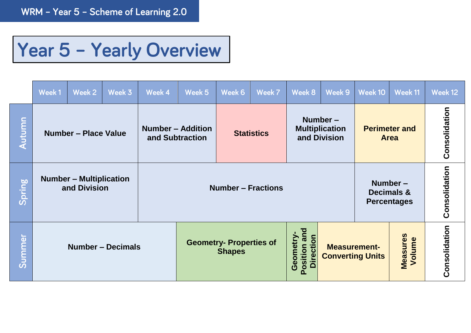## Year 5 - Yearly Overview

|        | Week 1                      | Week 2                                         | Week 3                                                           | Week 4 | Week 5                                          | Week 6                    | Week 7                                      | Week 8                                           | Week 9                                         | Week 10 | Week 11            | Week 12       |
|--------|-----------------------------|------------------------------------------------|------------------------------------------------------------------|--------|-------------------------------------------------|---------------------------|---------------------------------------------|--------------------------------------------------|------------------------------------------------|---------|--------------------|---------------|
| Autumn | <b>Number - Place Value</b> |                                                | <b>Number - Addition</b><br><b>Statistics</b><br>and Subtraction |        |                                                 |                           |                                             | Number-<br><b>Multiplication</b><br>and Division | <b>Perimeter and</b><br><b>Area</b>            |         | Consolidation      |               |
| Spring |                             | <b>Number - Multiplication</b><br>and Division |                                                                  |        |                                                 | <b>Number - Fractions</b> | Number-<br>Decimals &<br><b>Percentages</b> |                                                  | Consolidation                                  |         |                    |               |
| Summer | <b>Number - Decimals</b>    |                                                |                                                                  |        | <b>Geometry- Properties of</b><br><b>Shapes</b> |                           |                                             | Position and<br><b>Direction</b><br>Geometry     | <b>Measurement-</b><br><b>Converting Units</b> |         | Measures<br>Volume | Consolidation |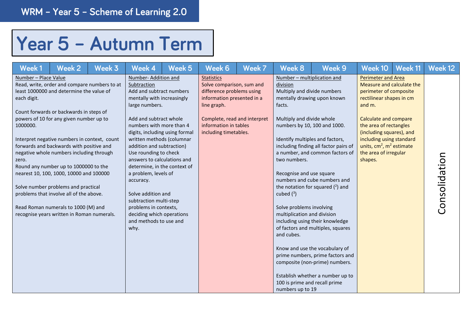## Year 5 - Autumn Term

| Week1                                                    | Week 2                                                                                                                                                                                                                                                                                                                                                                                                                                                                                                                                                                            | Week 3 | Week 4                                                                                                                                                                                                                                                                                                                                                                                                                                                                                                                                | Week <sub>5</sub> | Week 6                                                                                                                                                                                                     | Week 7 | Week 8                                                                                                                                                                                                                                                                                                                                                                     | Week 9                                                                                                                                                                                                                                                                                                                                                                                            | Week 10                                                                                                                                                                                                                                                                                                      | Week 11 | Week 12       |
|----------------------------------------------------------|-----------------------------------------------------------------------------------------------------------------------------------------------------------------------------------------------------------------------------------------------------------------------------------------------------------------------------------------------------------------------------------------------------------------------------------------------------------------------------------------------------------------------------------------------------------------------------------|--------|---------------------------------------------------------------------------------------------------------------------------------------------------------------------------------------------------------------------------------------------------------------------------------------------------------------------------------------------------------------------------------------------------------------------------------------------------------------------------------------------------------------------------------------|-------------------|------------------------------------------------------------------------------------------------------------------------------------------------------------------------------------------------------------|--------|----------------------------------------------------------------------------------------------------------------------------------------------------------------------------------------------------------------------------------------------------------------------------------------------------------------------------------------------------------------------------|---------------------------------------------------------------------------------------------------------------------------------------------------------------------------------------------------------------------------------------------------------------------------------------------------------------------------------------------------------------------------------------------------|--------------------------------------------------------------------------------------------------------------------------------------------------------------------------------------------------------------------------------------------------------------------------------------------------------------|---------|---------------|
| Number - Place Value<br>each digit.<br>1000000.<br>zero. | Read, write, order and compare numbers to at<br>least 1000000 and determine the value of<br>Count forwards or backwards in steps of<br>powers of 10 for any given number up to<br>Interpret negative numbers in context, count<br>forwards and backwards with positive and<br>negative whole numbers including through<br>Round any number up to 1000000 to the<br>nearest 10, 100, 1000, 10000 and 100000<br>Solve number problems and practical<br>problems that involve all of the above.<br>Read Roman numerals to 1000 (M) and<br>recognise years written in Roman numerals. |        | Number-Addition and<br>Subtraction<br>Add and subtract numbers<br>mentally with increasingly<br>large numbers.<br>Add and subtract whole<br>numbers with more than 4<br>digits, including using formal<br>written methods (columnar<br>addition and subtraction)<br>Use rounding to check<br>answers to calculations and<br>determine, in the context of<br>a problem, levels of<br>accuracy.<br>Solve addition and<br>subtraction multi-step<br>problems in contexts,<br>deciding which operations<br>and methods to use and<br>why. |                   | <b>Statistics</b><br>Solve comparison, sum and<br>difference problems using<br>information presented in a<br>line graph.<br>Complete, read and interpret<br>information in tables<br>including timetables. |        | Number - multiplication and<br>division<br>Multiply and divide numbers<br>facts.<br>Multiply and divide whole<br>numbers by 10, 100 and 1000.<br>Identify multiples and factors,<br>two numbers.<br>Recognise and use square<br>cubed $(^3)$<br>Solve problems involving<br>multiplication and division<br>and cubes.<br>100 is prime and recall prime<br>numbers up to 19 | mentally drawing upon known<br>including finding all factor pairs of<br>a number, and common factors of<br>numbers and cube numbers and<br>the notation for squared $(2)$ and<br>including using their knowledge<br>of factors and multiples, squares<br>Know and use the vocabulary of<br>prime numbers, prime factors and<br>composite (non-prime) numbers.<br>Establish whether a number up to | <b>Perimeter and Area</b><br>Measure and calculate the<br>perimeter of composite<br>rectilinear shapes in cm<br>and m.<br><b>Calculate and compare</b><br>the area of rectangles<br>(including squares), and<br>including using standard<br>units, $cm2$ , $m2$ estimate<br>the area of irregular<br>shapes. |         | Consolidation |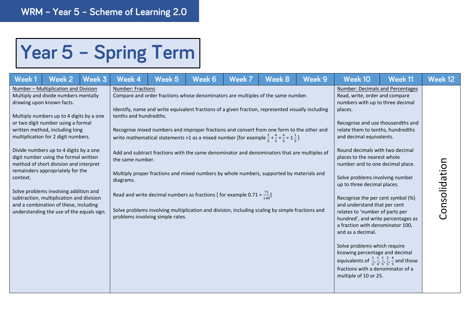## Year 5 - Spring Term

| Week 1   | Week 2                                                                                                                                                                                                                                                                                                                                                                                                                                                                                                                                                                                                           | Week 3 | Week 4                                                                              | Week 5                                                                                                                                                                                                                                                                                                                                                                                                                                                                                                                                                                                                                                                                                                                                                                                                                                    | Week 6 | Week 7 | Week 8 | Week 9 | Week 10                                                                                                                                                                                                                                                                                                                                                                                                                                                                                                                                                                                                                                                                                                                                                                                                                                     | Week 11 | Week 12       |
|----------|------------------------------------------------------------------------------------------------------------------------------------------------------------------------------------------------------------------------------------------------------------------------------------------------------------------------------------------------------------------------------------------------------------------------------------------------------------------------------------------------------------------------------------------------------------------------------------------------------------------|--------|-------------------------------------------------------------------------------------|-------------------------------------------------------------------------------------------------------------------------------------------------------------------------------------------------------------------------------------------------------------------------------------------------------------------------------------------------------------------------------------------------------------------------------------------------------------------------------------------------------------------------------------------------------------------------------------------------------------------------------------------------------------------------------------------------------------------------------------------------------------------------------------------------------------------------------------------|--------|--------|--------|--------|---------------------------------------------------------------------------------------------------------------------------------------------------------------------------------------------------------------------------------------------------------------------------------------------------------------------------------------------------------------------------------------------------------------------------------------------------------------------------------------------------------------------------------------------------------------------------------------------------------------------------------------------------------------------------------------------------------------------------------------------------------------------------------------------------------------------------------------------|---------|---------------|
| context. | Number - Multiplication and Division<br>Multiply and divide numbers mentally<br>drawing upon known facts.<br>Multiply numbers up to 4 digits by a one<br>or two digit number using a formal<br>written method, including long<br>multiplication for 2 digit numbers.<br>Divide numbers up to 4 digits by a one<br>digit number using the formal written<br>method of short division and interpret<br>remainders appropriately for the<br>Solve problems involving addition and<br>subtraction, multiplication and division<br>and a combination of these, including<br>understanding the use of the equals sign. |        | <b>Number: Fractions</b><br>tenths and hundredths.<br>the same number.<br>diagrams. | Compare and order fractions whose denominators are multiples of the same number.<br>Identify, name and write equivalent fractions of a given fraction, represented visually including<br>Recognise mixed numbers and improper fractions and convert from one form to the other and<br>write mathematical statements >1 as a mixed number [for example $\frac{2}{5} + \frac{4}{5} = \frac{6}{5} = 1\frac{1}{5}$ ]<br>Add and subtract fractions with the same denominator and denominators that are multiples of<br>Multiply proper fractions and mixed numbers by whole numbers, supported by materials and<br>Read and write decimal numbers as fractions [ for example 0.71 = $\frac{71}{100}$ ]<br>Solve problems involving multiplication and division, including scaling by simple fractions and<br>problems involving simple rates. |        |        |        |        | <b>Number: Decimals and Percentages</b><br>Read, write, order and compare<br>numbers with up to three decimal<br>places.<br>Recognise and use thousandths and<br>relate them to tenths, hundredths<br>and decimal equivalents.<br>Round decimals with two decimal<br>places to the nearest whole<br>number and to one decimal place.<br>Solve problems involving number<br>up to three decimal places.<br>Recognise the per cent symbol (%)<br>and understand that per cent<br>relates to 'number of parts per<br>hundred', and write percentages as<br>a fraction with denominator 100,<br>and as a decimal.<br>Solve problems which require<br>knowing percentage and decimal<br>equivalents of $\frac{1}{2}, \frac{1}{4}, \frac{1}{5}, \frac{2}{5}, \frac{4}{5}$ and those<br>fractions with a denominator of a<br>multiple of 10 or 25. |         | Consolidation |